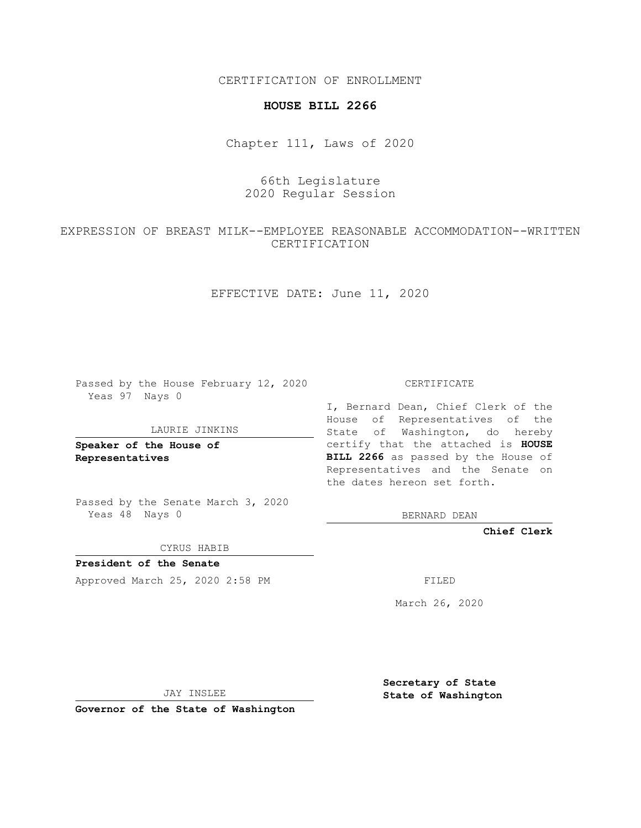CERTIFICATION OF ENROLLMENT

### **HOUSE BILL 2266**

Chapter 111, Laws of 2020

# 66th Legislature 2020 Regular Session

## EXPRESSION OF BREAST MILK--EMPLOYEE REASONABLE ACCOMMODATION--WRITTEN CERTIFICATION

EFFECTIVE DATE: June 11, 2020

Passed by the House February 12, 2020 Yeas 97 Nays 0

#### LAURIE JINKINS

**Speaker of the House of Representatives**

Passed by the Senate March 3, 2020 Yeas 48 Nays 0

CYRUS HABIB

**President of the Senate** Approved March 25, 2020 2:58 PM FILED

CERTIFICATE

I, Bernard Dean, Chief Clerk of the House of Representatives of the State of Washington, do hereby certify that the attached is **HOUSE BILL 2266** as passed by the House of Representatives and the Senate on the dates hereon set forth.

BERNARD DEAN

**Chief Clerk**

March 26, 2020

JAY INSLEE

**Governor of the State of Washington**

**Secretary of State State of Washington**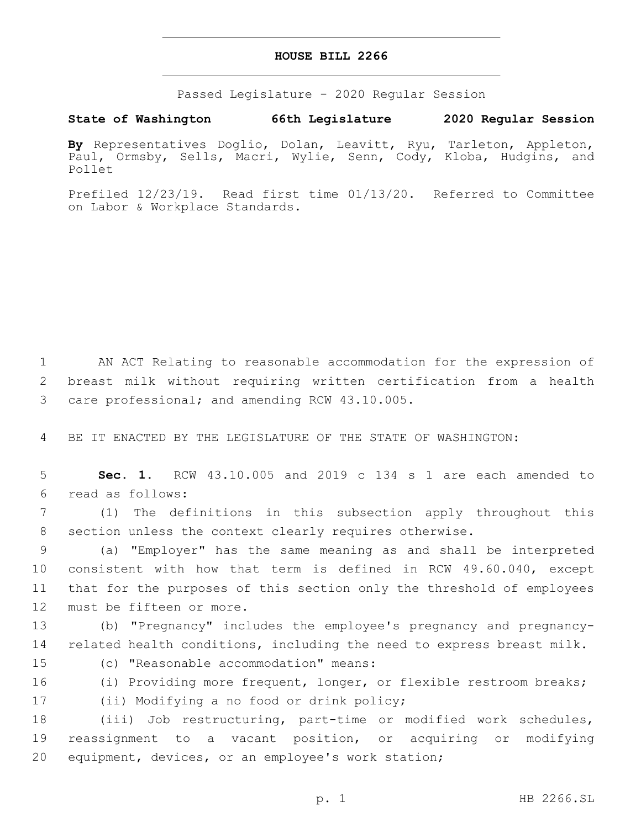### **HOUSE BILL 2266**

Passed Legislature - 2020 Regular Session

## **State of Washington 66th Legislature 2020 Regular Session**

**By** Representatives Doglio, Dolan, Leavitt, Ryu, Tarleton, Appleton, Paul, Ormsby, Sells, Macri, Wylie, Senn, Cody, Kloba, Hudgins, and Pollet

Prefiled 12/23/19. Read first time 01/13/20. Referred to Committee on Labor & Workplace Standards.

1 AN ACT Relating to reasonable accommodation for the expression of 2 breast milk without requiring written certification from a health 3 care professional; and amending RCW 43.10.005.

4 BE IT ENACTED BY THE LEGISLATURE OF THE STATE OF WASHINGTON:

5 **Sec. 1.** RCW 43.10.005 and 2019 c 134 s 1 are each amended to read as follows:6

7 (1) The definitions in this subsection apply throughout this 8 section unless the context clearly requires otherwise.

 (a) "Employer" has the same meaning as and shall be interpreted consistent with how that term is defined in RCW 49.60.040, except that for the purposes of this section only the threshold of employees 12 must be fifteen or more.

13 (b) "Pregnancy" includes the employee's pregnancy and pregnancy-14 related health conditions, including the need to express breast milk.

15 (c) "Reasonable accommodation" means:

16 (i) Providing more frequent, longer, or flexible restroom breaks; 17 (ii) Modifying a no food or drink policy;

18 (iii) Job restructuring, part-time or modified work schedules, 19 reassignment to a vacant position, or acquiring or modifying 20 equipment, devices, or an employee's work station;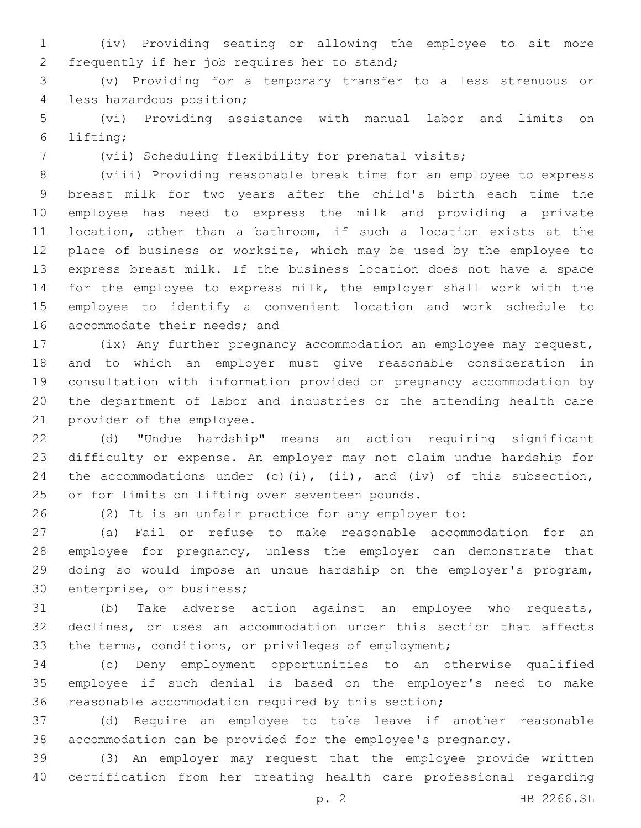(iv) Providing seating or allowing the employee to sit more 2 frequently if her job requires her to stand;

 (v) Providing for a temporary transfer to a less strenuous or 4 less hazardous position;

 (vi) Providing assistance with manual labor and limits on lifting;6

(vii) Scheduling flexibility for prenatal visits;

 (viii) Providing reasonable break time for an employee to express breast milk for two years after the child's birth each time the employee has need to express the milk and providing a private location, other than a bathroom, if such a location exists at the place of business or worksite, which may be used by the employee to express breast milk. If the business location does not have a space for the employee to express milk, the employer shall work with the employee to identify a convenient location and work schedule to 16 accommodate their needs; and

 (ix) Any further pregnancy accommodation an employee may request, and to which an employer must give reasonable consideration in consultation with information provided on pregnancy accommodation by the department of labor and industries or the attending health care 21 provider of the employee.

 (d) "Undue hardship" means an action requiring significant difficulty or expense. An employer may not claim undue hardship for 24 the accommodations under  $(c)$  (i), (ii), and (iv) of this subsection, 25 or for limits on lifting over seventeen pounds.

(2) It is an unfair practice for any employer to:

 (a) Fail or refuse to make reasonable accommodation for an employee for pregnancy, unless the employer can demonstrate that doing so would impose an undue hardship on the employer's program, 30 enterprise, or business;

 (b) Take adverse action against an employee who requests, declines, or uses an accommodation under this section that affects the terms, conditions, or privileges of employment;

 (c) Deny employment opportunities to an otherwise qualified employee if such denial is based on the employer's need to make reasonable accommodation required by this section;

 (d) Require an employee to take leave if another reasonable accommodation can be provided for the employee's pregnancy.

 (3) An employer may request that the employee provide written certification from her treating health care professional regarding